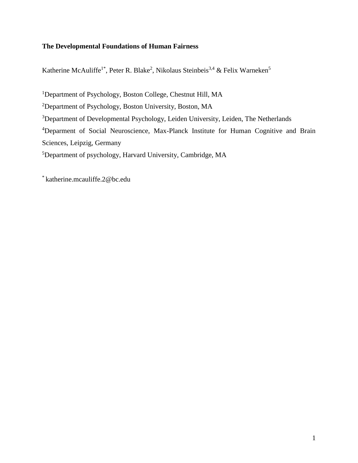# **The Developmental Foundations of Human Fairness**

Katherine McAuliffe<sup>1\*</sup>, Peter R. Blake<sup>2</sup>, Nikolaus Steinbeis<sup>3,4</sup> & Felix Warneken<sup>5</sup>

<sup>1</sup>Department of Psychology, Boston College, Chestnut Hill, MA

<sup>2</sup>Department of Psychology, Boston University, Boston, MA

<sup>3</sup>Department of Developmental Psychology, Leiden University, Leiden, The Netherlands

<sup>4</sup>Deparment of Social Neuroscience, Max-Planck Institute for Human Cognitive and Brain

Sciences, Leipzig, Germany

<sup>5</sup>Department of psychology, Harvard University, Cambridge, MA

\* katherine.mcauliffe.2@bc.edu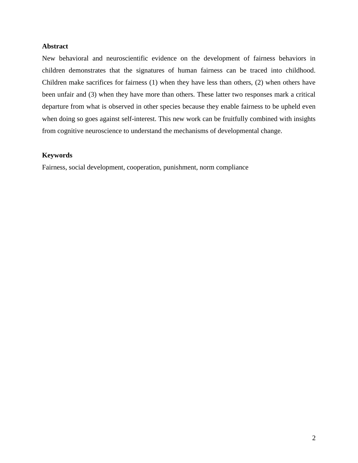## **Abstract**

New behavioral and neuroscientific evidence on the development of fairness behaviors in children demonstrates that the signatures of human fairness can be traced into childhood. Children make sacrifices for fairness (1) when they have less than others, (2) when others have been unfair and (3) when they have more than others. These latter two responses mark a critical departure from what is observed in other species because they enable fairness to be upheld even when doing so goes against self-interest. This new work can be fruitfully combined with insights from cognitive neuroscience to understand the mechanisms of developmental change.

### **Keywords**

Fairness, social development, cooperation, punishment, norm compliance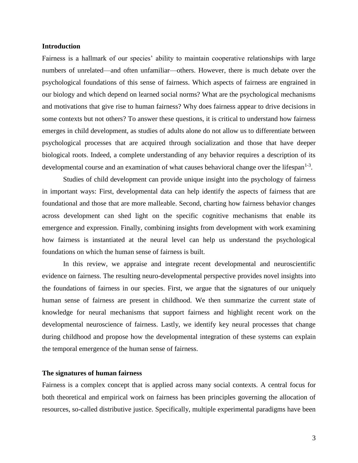#### **Introduction**

Fairness is a hallmark of our species' ability to maintain cooperative relationships with large numbers of unrelated—and often unfamiliar—others. However, there is much debate over the psychological foundations of this sense of fairness. Which aspects of fairness are engrained in our biology and which depend on learned social norms? What are the psychological mechanisms and motivations that give rise to human fairness? Why does fairness appear to drive decisions in some contexts but not others? To answer these questions, it is critical to understand how fairness emerges in child development, as studies of adults alone do not allow us to differentiate between psychological processes that are acquired through socialization and those that have deeper biological roots. Indeed, a complete understanding of any behavior requires a description of its developmental course and an examination of what causes behavioral change over the lifespan<sup>1-3</sup>.

Studies of child development can provide unique insight into the psychology of fairness in important ways: First, developmental data can help identify the aspects of fairness that are foundational and those that are more malleable. Second, charting how fairness behavior changes across development can shed light on the specific cognitive mechanisms that enable its emergence and expression. Finally, combining insights from development with work examining how fairness is instantiated at the neural level can help us understand the psychological foundations on which the human sense of fairness is built.

In this review, we appraise and integrate recent developmental and neuroscientific evidence on fairness. The resulting neuro-developmental perspective provides novel insights into the foundations of fairness in our species. First, we argue that the signatures of our uniquely human sense of fairness are present in childhood. We then summarize the current state of knowledge for neural mechanisms that support fairness and highlight recent work on the developmental neuroscience of fairness. Lastly, we identify key neural processes that change during childhood and propose how the developmental integration of these systems can explain the temporal emergence of the human sense of fairness.

## **The signatures of human fairness**

Fairness is a complex concept that is applied across many social contexts. A central focus for both theoretical and empirical work on fairness has been principles governing the allocation of resources, so-called distributive justice. Specifically, multiple experimental paradigms have been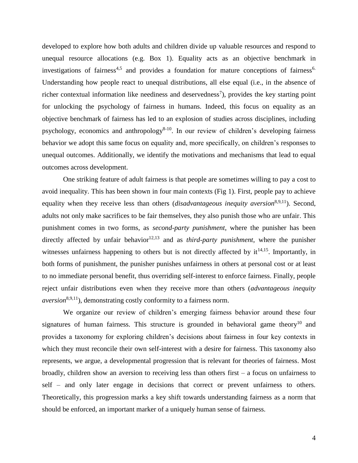developed to explore how both adults and children divide up valuable resources and respond to unequal resource allocations (e.g. Box 1). Equality acts as an objective benchmark in investigations of fairness<sup>4,5</sup> and provides a foundation for mature conceptions of fairness<sup>6.</sup> Understanding how people react to unequal distributions, all else equal (i.e., in the absence of richer contextual information like neediness and deservedness<sup>7</sup>), provides the key starting point for unlocking the psychology of fairness in humans. Indeed, this focus on equality as an objective benchmark of fairness has led to an explosion of studies across disciplines, including psychology, economics and anthropology<sup>8-10</sup>. In our review of children's developing fairness behavior we adopt this same focus on equality and, more specifically, on children's responses to unequal outcomes. Additionally, we identify the motivations and mechanisms that lead to equal outcomes across development.

One striking feature of adult fairness is that people are sometimes willing to pay a cost to avoid inequality. This has been shown in four main contexts (Fig 1). First, people pay to achieve equality when they receive less than others (*disadvantageous inequity aversion*<sup>8,9,11</sup>). Second, adults not only make sacrifices to be fair themselves, they also punish those who are unfair. This punishment comes in two forms, as *second-party punishment*, where the punisher has been directly affected by unfair behavior<sup>12,13</sup> and as *third-party punishment*, where the punisher witnesses unfairness happening to others but is not directly affected by  $it^{14,15}$ . Importantly, in both forms of punishment, the punisher punishes unfairness in others at personal cost or at least to no immediate personal benefit, thus overriding self-interest to enforce fairness. Finally, people reject unfair distributions even when they receive more than others (*advantageous inequity aversion*<sup>8,9,11</sup>), demonstrating costly conformity to a fairness norm.

We organize our review of children's emerging fairness behavior around these four signatures of human fairness. This structure is grounded in behavioral game theory<sup>10</sup> and provides a taxonomy for exploring children's decisions about fairness in four key contexts in which they must reconcile their own self-interest with a desire for fairness. This taxonomy also represents, we argue, a developmental progression that is relevant for theories of fairness. Most broadly, children show an aversion to receiving less than others first – a focus on unfairness to self – and only later engage in decisions that correct or prevent unfairness to others. Theoretically, this progression marks a key shift towards understanding fairness as a norm that should be enforced, an important marker of a uniquely human sense of fairness.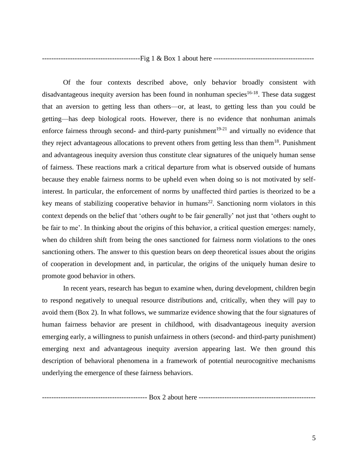------------------------------------------Fig 1 & Box 1 about here -------------------------------------------

Of the four contexts described above, only behavior broadly consistent with disadvantageous inequity aversion has been found in nonhuman species<sup>16-18</sup>. These data suggest that an aversion to getting less than others—or, at least, to getting less than you could be getting—has deep biological roots. However, there is no evidence that nonhuman animals enforce fairness through second- and third-party punishment<sup>19-21</sup> and virtually no evidence that they reject advantageous allocations to prevent others from getting less than them<sup>18</sup>. Punishment and advantageous inequity aversion thus constitute clear signatures of the uniquely human sense of fairness. These reactions mark a critical departure from what is observed outside of humans because they enable fairness norms to be upheld even when doing so is not motivated by selfinterest. In particular, the enforcement of norms by unaffected third parties is theorized to be a key means of stabilizing cooperative behavior in humans<sup>22</sup>. Sanctioning norm violators in this context depends on the belief that 'others *ought* to be fair generally' not just that 'others ought to be fair to me'. In thinking about the origins of this behavior, a critical question emerges: namely, when do children shift from being the ones sanctioned for fairness norm violations to the ones sanctioning others. The answer to this question bears on deep theoretical issues about the origins of cooperation in development and, in particular, the origins of the uniquely human desire to promote good behavior in others.

In recent years, research has begun to examine when, during development, children begin to respond negatively to unequal resource distributions and, critically, when they will pay to avoid them (Box 2). In what follows, we summarize evidence showing that the four signatures of human fairness behavior are present in childhood, with disadvantageous inequity aversion emerging early, a willingness to punish unfairness in others (second- and third-party punishment) emerging next and advantageous inequity aversion appearing last. We then ground this description of behavioral phenomena in a framework of potential neurocognitive mechanisms underlying the emergence of these fairness behaviors.

--------------------------------------------- Box 2 about here --------------------------------------------------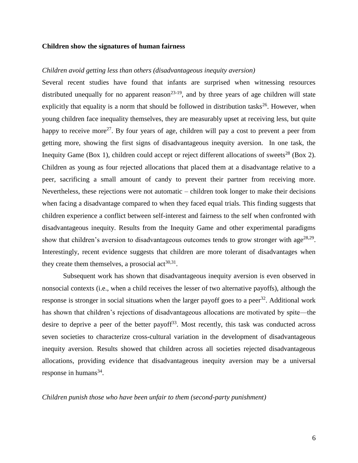#### **Children show the signatures of human fairness**

### *Children avoid getting less than others (disadvantageous inequity aversion)*

Several recent studies have found that infants are surprised when witnessing resources distributed unequally for no apparent reason<sup>23-19</sup>, and by three years of age children will state explicitly that equality is a norm that should be followed in distribution tasks $^{26}$ . However, when young children face inequality themselves, they are measurably upset at receiving less, but quite happy to receive more<sup>27</sup>. By four years of age, children will pay a cost to prevent a peer from getting more, showing the first signs of disadvantageous inequity aversion. In one task, the Inequity Game (Box 1), children could accept or reject different allocations of sweets<sup>28</sup> (Box 2). Children as young as four rejected allocations that placed them at a disadvantage relative to a peer, sacrificing a small amount of candy to prevent their partner from receiving more. Nevertheless, these rejections were not automatic – children took longer to make their decisions when facing a disadvantage compared to when they faced equal trials. This finding suggests that children experience a conflict between self-interest and fairness to the self when confronted with disadvantageous inequity. Results from the Inequity Game and other experimental paradigms show that children's aversion to disadvantageous outcomes tends to grow stronger with age<sup>28,29</sup>. Interestingly, recent evidence suggests that children are more tolerant of disadvantages when they create them themselves, a prosocial  $\arctan(30,31)$ .

Subsequent work has shown that disadvantageous inequity aversion is even observed in nonsocial contexts (i.e., when a child receives the lesser of two alternative payoffs), although the response is stronger in social situations when the larger payoff goes to a peer<sup>32</sup>. Additional work has shown that children's rejections of disadvantageous allocations are motivated by spite—the desire to deprive a peer of the better payoff<sup>33</sup>. Most recently, this task was conducted across seven societies to characterize cross-cultural variation in the development of disadvantageous inequity aversion. Results showed that children across all societies rejected disadvantageous allocations, providing evidence that disadvantageous inequity aversion may be a universal response in humans $^{34}$ .

*Children punish those who have been unfair to them (second-party punishment)*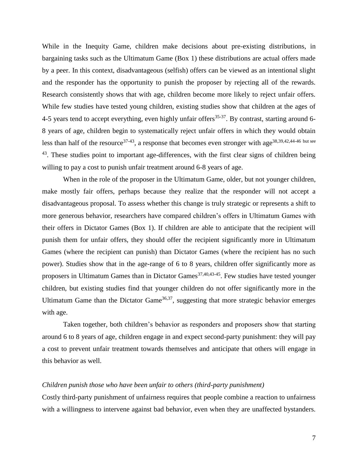While in the Inequity Game, children make decisions about pre-existing distributions, in bargaining tasks such as the Ultimatum Game (Box 1) these distributions are actual offers made by a peer. In this context, disadvantageous (selfish) offers can be viewed as an intentional slight and the responder has the opportunity to punish the proposer by rejecting all of the rewards. Research consistently shows that with age, children become more likely to reject unfair offers. While few studies have tested young children, existing studies show that children at the ages of 4-5 years tend to accept everything, even highly unfair offers<sup>35-37</sup>. By contrast, starting around 6-8 years of age, children begin to systematically reject unfair offers in which they would obtain less than half of the resource<sup>37-43</sup>, a response that becomes even stronger with age<sup>38,39,42,44-46 but see</sup> <sup>43</sup>. These studies point to important age-differences, with the first clear signs of children being willing to pay a cost to punish unfair treatment around 6-8 years of age.

When in the role of the proposer in the Ultimatum Game, older, but not younger children, make mostly fair offers, perhaps because they realize that the responder will not accept a disadvantageous proposal. To assess whether this change is truly strategic or represents a shift to more generous behavior, researchers have compared children's offers in Ultimatum Games with their offers in Dictator Games (Box 1). If children are able to anticipate that the recipient will punish them for unfair offers, they should offer the recipient significantly more in Ultimatum Games (where the recipient can punish) than Dictator Games (where the recipient has no such power). Studies show that in the age-range of 6 to 8 years, children offer significantly more as proposers in Ultimatum Games than in Dictator Games<sup>37,40,43-45</sup>. Few studies have tested younger children, but existing studies find that younger children do not offer significantly more in the Ultimatum Game than the Dictator Game<sup>36,37</sup>, suggesting that more strategic behavior emerges with age.

Taken together, both children's behavior as responders and proposers show that starting around 6 to 8 years of age, children engage in and expect second-party punishment: they will pay a cost to prevent unfair treatment towards themselves and anticipate that others will engage in this behavior as well.

#### *Children punish those who have been unfair to others (third-party punishment)*

Costly third-party punishment of unfairness requires that people combine a reaction to unfairness with a willingness to intervene against bad behavior, even when they are unaffected bystanders.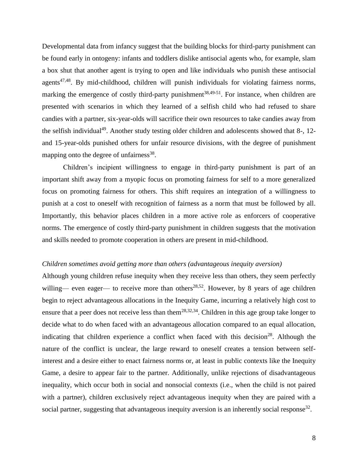Developmental data from infancy suggest that the building blocks for third-party punishment can be found early in ontogeny: infants and toddlers dislike antisocial agents who, for example, slam a box shut that another agent is trying to open and like individuals who punish these antisocial agents<sup>47,48</sup>. By mid-childhood, children will punish individuals for violating fairness norms, marking the emergence of costly third-party punishment<sup>38,49-51</sup>. For instance, when children are presented with scenarios in which they learned of a selfish child who had refused to share candies with a partner, six-year-olds will sacrifice their own resources to take candies away from the selfish individual<sup>49</sup>. Another study testing older children and adolescents showed that  $8-$ , 12and 15-year-olds punished others for unfair resource divisions, with the degree of punishment mapping onto the degree of unfairness<sup>38</sup>.

Children's incipient willingness to engage in third-party punishment is part of an important shift away from a myopic focus on promoting fairness for self to a more generalized focus on promoting fairness for others. This shift requires an integration of a willingness to punish at a cost to oneself with recognition of fairness as a norm that must be followed by all. Importantly, this behavior places children in a more active role as enforcers of cooperative norms. The emergence of costly third-party punishment in children suggests that the motivation and skills needed to promote cooperation in others are present in mid-childhood.

### *Children sometimes avoid getting more than others (advantageous inequity aversion)*

Although young children refuse inequity when they receive less than others, they seem perfectly willing— even eager— to receive more than others<sup>28,52</sup>. However, by 8 years of age children begin to reject advantageous allocations in the Inequity Game, incurring a relatively high cost to ensure that a peer does not receive less than them<sup>28,32,34</sup>. Children in this age group take longer to decide what to do when faced with an advantageous allocation compared to an equal allocation, indicating that children experience a conflict when faced with this decision<sup>28</sup>. Although the nature of the conflict is unclear, the large reward to oneself creates a tension between selfinterest and a desire either to enact fairness norms or, at least in public contexts like the Inequity Game, a desire to appear fair to the partner. Additionally, unlike rejections of disadvantageous inequality, which occur both in social and nonsocial contexts (i.e., when the child is not paired with a partner), children exclusively reject advantageous inequity when they are paired with a social partner, suggesting that advantageous inequity aversion is an inherently social response<sup>32</sup>.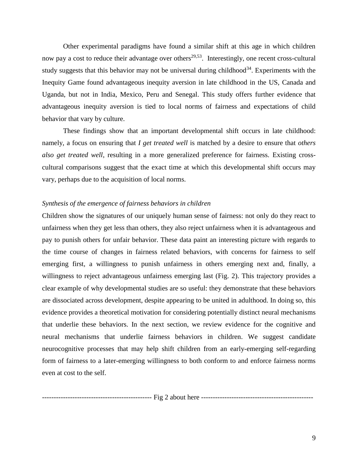Other experimental paradigms have found a similar shift at this age in which children now pay a cost to reduce their advantage over others<sup>29,53</sup>. Interestingly, one recent cross-cultural study suggests that this behavior may not be universal during childhood<sup>34</sup>. Experiments with the Inequity Game found advantageous inequity aversion in late childhood in the US, Canada and Uganda, but not in India, Mexico, Peru and Senegal. This study offers further evidence that advantageous inequity aversion is tied to local norms of fairness and expectations of child behavior that vary by culture.

These findings show that an important developmental shift occurs in late childhood: namely, a focus on ensuring that *I get treated well* is matched by a desire to ensure that *others also get treated well*, resulting in a more generalized preference for fairness. Existing crosscultural comparisons suggest that the exact time at which this developmental shift occurs may vary, perhaps due to the acquisition of local norms.

#### *Synthesis of the emergence of fairness behaviors in children*

Children show the signatures of our uniquely human sense of fairness: not only do they react to unfairness when they get less than others, they also reject unfairness when it is advantageous and pay to punish others for unfair behavior. These data paint an interesting picture with regards to the time course of changes in fairness related behaviors, with concerns for fairness to self emerging first, a willingness to punish unfairness in others emerging next and, finally, a willingness to reject advantageous unfairness emerging last (Fig. 2). This trajectory provides a clear example of why developmental studies are so useful: they demonstrate that these behaviors are dissociated across development, despite appearing to be united in adulthood. In doing so, this evidence provides a theoretical motivation for considering potentially distinct neural mechanisms that underlie these behaviors. In the next section, we review evidence for the cognitive and neural mechanisms that underlie fairness behaviors in children. We suggest candidate neurocognitive processes that may help shift children from an early-emerging self-regarding form of fairness to a later-emerging willingness to both conform to and enforce fairness norms even at cost to the self.

----------------------------------------------- Fig 2 about here ------------------------------------------------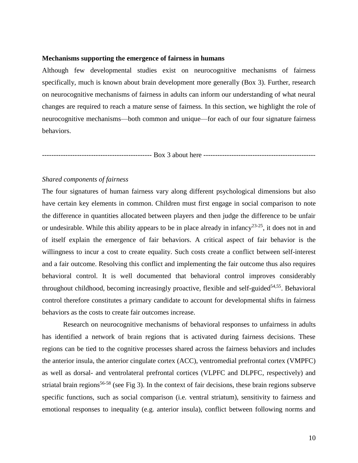#### **Mechanisms supporting the emergence of fairness in humans**

Although few developmental studies exist on neurocognitive mechanisms of fairness specifically, much is known about brain development more generally (Box 3). Further, research on neurocognitive mechanisms of fairness in adults can inform our understanding of what neural changes are required to reach a mature sense of fairness. In this section, we highlight the role of neurocognitive mechanisms—both common and unique—for each of our four signature fairness behaviors.

----------------------------------------------- Box 3 about here ------------------------------------------------

### *Shared components of fairness*

The four signatures of human fairness vary along different psychological dimensions but also have certain key elements in common. Children must first engage in social comparison to note the difference in quantities allocated between players and then judge the difference to be unfair or undesirable. While this ability appears to be in place already in infancy<sup>23-25</sup>, it does not in and of itself explain the emergence of fair behaviors. A critical aspect of fair behavior is the willingness to incur a cost to create equality. Such costs create a conflict between self-interest and a fair outcome. Resolving this conflict and implementing the fair outcome thus also requires behavioral control. It is well documented that behavioral control improves considerably throughout childhood, becoming increasingly proactive, flexible and self-guided<sup>54,55</sup>. Behavioral control therefore constitutes a primary candidate to account for developmental shifts in fairness behaviors as the costs to create fair outcomes increase.

Research on neurocognitive mechanisms of behavioral responses to unfairness in adults has identified a network of brain regions that is activated during fairness decisions. These regions can be tied to the cognitive processes shared across the fairness behaviors and includes the anterior insula, the anterior cingulate cortex (ACC), ventromedial prefrontal cortex (VMPFC) as well as dorsal- and ventrolateral prefrontal cortices (VLPFC and DLPFC, respectively) and striatal brain regions<sup>56-58</sup> (see Fig 3). In the context of fair decisions, these brain regions subserve specific functions, such as social comparison (i.e. ventral striatum), sensitivity to fairness and emotional responses to inequality (e.g. anterior insula), conflict between following norms and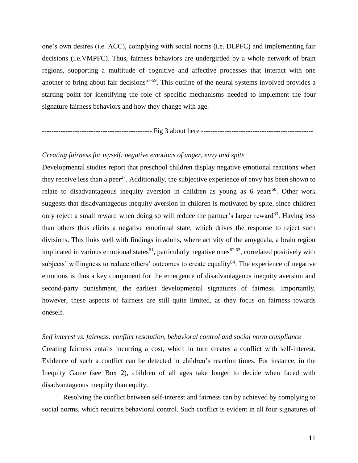one's own desires (i.e. ACC), complying with social norms (i.e. DLPFC) and implementing fair decisions (i.e.VMPFC). Thus, fairness behaviors are undergirded by a whole network of brain regions, supporting a multitude of cognitive and affective processes that interact with one another to bring about fair decisions<sup>57-59</sup>. This outline of the neural systems involved provides a starting point for identifying the role of specific mechanisms needed to implement the four signature fairness behaviors and how they change with age.

----------------------------------------------- Fig 3 about here ------------------------------------------------

### *Creating fairness for myself: negative emotions of anger, envy and spite*

Developmental studies report that preschool children display negative emotional reactions when they receive less than a peer<sup>27</sup>. Additionally, the subjective experience of envy has been shown to relate to disadvantageous inequity aversion in children as young as 6 years<sup>60</sup>. Other work suggests that disadvantageous inequity aversion in children is motivated by spite, since children only reject a small reward when doing so will reduce the partner's larger reward<sup>33</sup>. Having less than others thus elicits a negative emotional state, which drives the response to reject such divisions. This links well with findings in adults, where activity of the amygdala, a brain region implicated in various emotional states<sup>61</sup>, particularly negative ones<sup>62,63</sup>, correlated positively with subjects' willingness to reduce others' outcomes to create equality<sup>64</sup>. The experience of negative emotions is thus a key component for the emergence of disadvantageous inequity aversion and second-party punishment, the earliest developmental signatures of fairness. Importantly, however, these aspects of fairness are still quite limited, as they focus on fairness towards oneself.

#### *Self interest vs. fairness: conflict resolution, behavioral control and social norm compliance*

Creating fairness entails incurring a cost, which in turn creates a conflict with self-interest. Evidence of such a conflict can be detected in children's reaction times. For instance, in the Inequity Game (see Box 2), children of all ages take longer to decide when faced with disadvantageous inequity than equity.

Resolving the conflict between self-interest and fairness can by achieved by complying to social norms, which requires behavioral control. Such conflict is evident in all four signatures of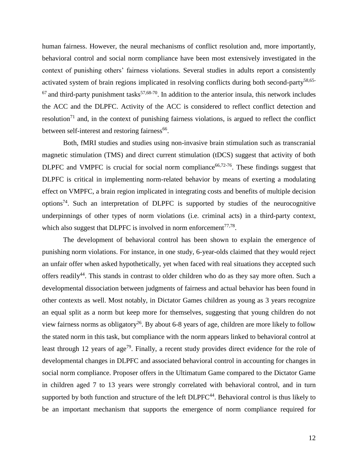human fairness. However, the neural mechanisms of conflict resolution and, more importantly, behavioral control and social norm compliance have been most extensively investigated in the context of punishing others' fairness violations. Several studies in adults report a consistently activated system of brain regions implicated in resolving conflicts during both second-party<sup>58,65-</sup>  $67$  and third-party punishment tasks<sup>57,68-70</sup>. In addition to the anterior insula, this network includes the ACC and the DLPFC. Activity of the ACC is considered to reflect conflict detection and resolution<sup>71</sup> and, in the context of punishing fairness violations, is argued to reflect the conflict between self-interest and restoring fairness<sup>66</sup>.

Both, fMRI studies and studies using non-invasive brain stimulation such as transcranial magnetic stimulation (TMS) and direct current stimulation (tDCS) suggest that activity of both DLPFC and VMPFC is crucial for social norm compliance<sup>66,72-76</sup>. These findings suggest that DLPFC is critical in implementing norm-related behavior by means of exerting a modulating effect on VMPFC, a brain region implicated in integrating costs and benefits of multiple decision options<sup>74</sup>. Such an interpretation of DLPFC is supported by studies of the neurocognitive underpinnings of other types of norm violations (i.e. criminal acts) in a third-party context, which also suggest that DLPFC is involved in norm enforcement $^{77,78}$ .

The development of behavioral control has been shown to explain the emergence of punishing norm violations. For instance, in one study, 6-year-olds claimed that they would reject an unfair offer when asked hypothetically, yet when faced with real situations they accepted such offers readily<sup>44</sup>. This stands in contrast to older children who do as they say more often. Such a developmental dissociation between judgments of fairness and actual behavior has been found in other contexts as well. Most notably, in Dictator Games children as young as 3 years recognize an equal split as a norm but keep more for themselves, suggesting that young children do not view fairness norms as obligatory<sup>26</sup>. By about 6-8 years of age, children are more likely to follow the stated norm in this task, but compliance with the norm appears linked to behavioral control at least through 12 years of age<sup>79</sup>. Finally, a recent study provides direct evidence for the role of developmental changes in DLPFC and associated behavioral control in accounting for changes in social norm compliance. Proposer offers in the Ultimatum Game compared to the Dictator Game in children aged 7 to 13 years were strongly correlated with behavioral control, and in turn supported by both function and structure of the left  $DLPFC^{44}$ . Behavioral control is thus likely to be an important mechanism that supports the emergence of norm compliance required for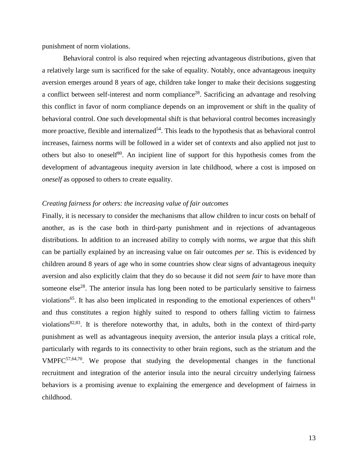punishment of norm violations.

Behavioral control is also required when rejecting advantageous distributions, given that a relatively large sum is sacrificed for the sake of equality. Notably, once advantageous inequity aversion emerges around 8 years of age, children take longer to make their decisions suggesting a conflict between self-interest and norm compliance<sup>28</sup>. Sacrificing an advantage and resolving this conflict in favor of norm compliance depends on an improvement or shift in the quality of behavioral control. One such developmental shift is that behavioral control becomes increasingly more proactive, flexible and internalized<sup>54</sup>. This leads to the hypothesis that as behavioral control increases, fairness norms will be followed in a wider set of contexts and also applied not just to others but also to oneself<sup>80</sup>. An incipient line of support for this hypothesis comes from the development of advantageous inequity aversion in late childhood, where a cost is imposed on *oneself* as opposed to others to create equality.

### *Creating fairness for others: the increasing value of fair outcomes*

Finally, it is necessary to consider the mechanisms that allow children to incur costs on behalf of another, as is the case both in third-party punishment and in rejections of advantageous distributions. In addition to an increased ability to comply with norms, we argue that this shift can be partially explained by an increasing value on fair outcomes *per se*. This is evidenced by children around 8 years of age who in some countries show clear signs of advantageous inequity aversion and also explicitly claim that they do so because it did not *seem fair* to have more than someone else<sup>28</sup>. The anterior insula has long been noted to be particularly sensitive to fairness violations<sup>65</sup>. It has also been implicated in responding to the emotional experiences of others<sup>81</sup> and thus constitutes a region highly suited to respond to others falling victim to fairness violations<sup>82,83</sup>. It is therefore noteworthy that, in adults, both in the context of third-party punishment as well as advantageous inequity aversion, the anterior insula plays a critical role, particularly with regards to its connectivity to other brain regions, such as the striatum and the  $VMPFC<sup>57,64,70</sup>$ . We propose that studying the developmental changes in the functional recruitment and integration of the anterior insula into the neural circuitry underlying fairness behaviors is a promising avenue to explaining the emergence and development of fairness in childhood.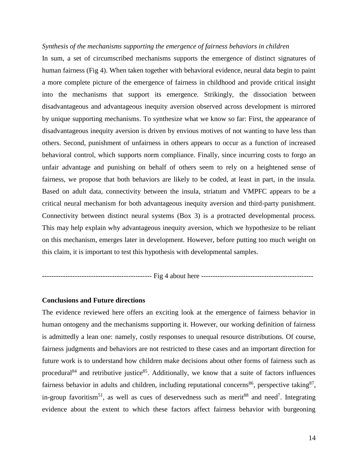#### *Synthesis of the mechanisms supporting the emergence of fairness behaviors in children*

In sum, a set of circumscribed mechanisms supports the emergence of distinct signatures of human fairness (Fig 4). When taken together with behavioral evidence, neural data begin to paint a more complete picture of the emergence of fairness in childhood and provide critical insight into the mechanisms that support its emergence. Strikingly, the dissociation between disadvantageous and advantageous inequity aversion observed across development is mirrored by unique supporting mechanisms. To synthesize what we know so far: First, the appearance of disadvantageous inequity aversion is driven by envious motives of not wanting to have less than others. Second, punishment of unfairness in others appears to occur as a function of increased behavioral control, which supports norm compliance. Finally, since incurring costs to forgo an unfair advantage and punishing on behalf of others seem to rely on a heightened sense of fairness, we propose that both behaviors are likely to be coded, at least in part, in the insula. Based on adult data, connectivity between the insula, striatum and VMPFC appears to be a critical neural mechanism for both advantageous inequity aversion and third-party punishment. Connectivity between distinct neural systems (Box 3) is a protracted developmental process. This may help explain why advantageous inequity aversion, which we hypothesize to be reliant on this mechanism, emerges later in development. However, before putting too much weight on this claim, it is important to test this hypothesis with developmental samples.

----------------------------------------------- Fig 4 about here ------------------------------------------------

### **Conclusions and Future directions**

The evidence reviewed here offers an exciting look at the emergence of fairness behavior in human ontogeny and the mechanisms supporting it. However, our working definition of fairness is admittedly a lean one: namely, costly responses to unequal resource distributions. Of course, fairness judgments and behaviors are not restricted to these cases and an important direction for future work is to understand how children make decisions about other forms of fairness such as procedural<sup>84</sup> and retributive justice<sup>85</sup>. Additionally, we know that a suite of factors influences fairness behavior in adults and children, including reputational concerns<sup>86</sup>, perspective taking<sup>87</sup>, in-group favoritism<sup>51</sup>, as well as cues of deservedness such as merit<sup>88</sup> and need<sup>7</sup>. Integrating evidence about the extent to which these factors affect fairness behavior with burgeoning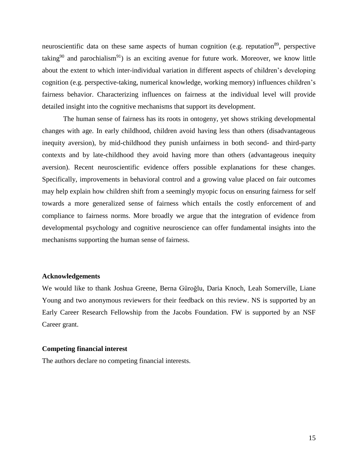neuroscientific data on these same aspects of human cognition (e.g. reputation<sup>89</sup>, perspective taking<sup>90</sup> and parochialism<sup>91</sup>) is an exciting avenue for future work. Moreover, we know little about the extent to which inter-individual variation in different aspects of children's developing cognition (e.g. perspective-taking, numerical knowledge, working memory) influences children's fairness behavior. Characterizing influences on fairness at the individual level will provide detailed insight into the cognitive mechanisms that support its development.

The human sense of fairness has its roots in ontogeny, yet shows striking developmental changes with age. In early childhood, children avoid having less than others (disadvantageous inequity aversion), by mid-childhood they punish unfairness in both second- and third-party contexts and by late-childhood they avoid having more than others (advantageous inequity aversion). Recent neuroscientific evidence offers possible explanations for these changes. Specifically, improvements in behavioral control and a growing value placed on fair outcomes may help explain how children shift from a seemingly myopic focus on ensuring fairness for self towards a more generalized sense of fairness which entails the costly enforcement of and compliance to fairness norms. More broadly we argue that the integration of evidence from developmental psychology and cognitive neuroscience can offer fundamental insights into the mechanisms supporting the human sense of fairness.

### **Acknowledgements**

We would like to thank Joshua Greene, Berna Güroğlu, Daria Knoch, Leah Somerville, Liane Young and two anonymous reviewers for their feedback on this review. NS is supported by an Early Career Research Fellowship from the Jacobs Foundation. FW is supported by an NSF Career grant.

### **Competing financial interest**

The authors declare no competing financial interests.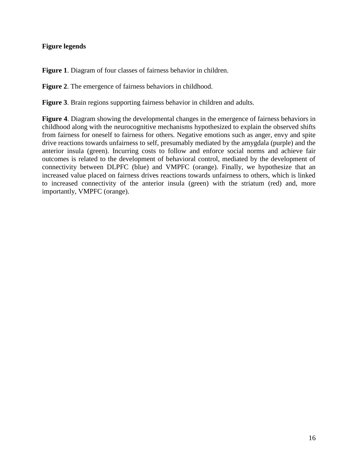# **Figure legends**

**Figure 1**. Diagram of four classes of fairness behavior in children.

**Figure 2**. The emergence of fairness behaviors in childhood.

**Figure 3**. Brain regions supporting fairness behavior in children and adults.

**Figure 4**. Diagram showing the developmental changes in the emergence of fairness behaviors in childhood along with the neurocognitive mechanisms hypothesized to explain the observed shifts from fairness for oneself to fairness for others. Negative emotions such as anger, envy and spite drive reactions towards unfairness to self, presumably mediated by the amygdala (purple) and the anterior insula (green). Incurring costs to follow and enforce social norms and achieve fair outcomes is related to the development of behavioral control, mediated by the development of connectivity between DLPFC (blue) and VMPFC (orange). Finally, we hypothesize that an increased value placed on fairness drives reactions towards unfairness to others, which is linked to increased connectivity of the anterior insula (green) with the striatum (red) and, more importantly, VMPFC (orange).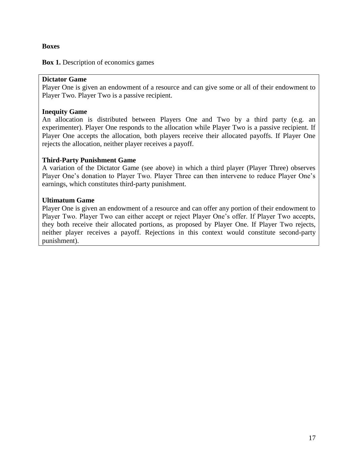# **Boxes**

**Box 1.** Description of economics games

# **Dictator Game**

Player One is given an endowment of a resource and can give some or all of their endowment to Player Two. Player Two is a passive recipient.

# **Inequity Game**

An allocation is distributed between Players One and Two by a third party (e.g. an experimenter). Player One responds to the allocation while Player Two is a passive recipient. If Player One accepts the allocation, both players receive their allocated payoffs. If Player One rejects the allocation, neither player receives a payoff.

# **Third-Party Punishment Game**

A variation of the Dictator Game (see above) in which a third player (Player Three) observes Player One's donation to Player Two. Player Three can then intervene to reduce Player One's earnings, which constitutes third-party punishment.

# **Ultimatum Game**

Player One is given an endowment of a resource and can offer any portion of their endowment to Player Two. Player Two can either accept or reject Player One's offer. If Player Two accepts, they both receive their allocated portions, as proposed by Player One. If Player Two rejects, neither player receives a payoff. Rejections in this context would constitute second-party punishment).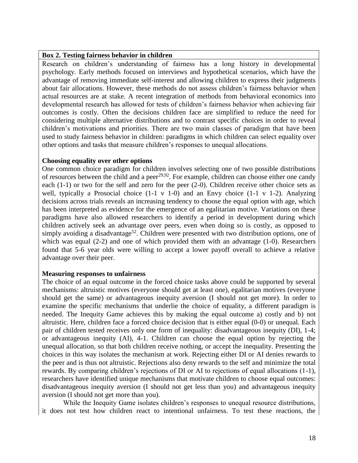### **Box 2. Testing fairness behavior in children**

Research on children's understanding of fairness has a long history in developmental psychology. Early methods focused on interviews and hypothetical scenarios, which have the advantage of removing immediate self-interest and allowing children to express their judgments about fair allocations. However, these methods do not assess children's fairness behavior when actual resources are at stake. A recent integration of methods from behavioral economics into developmental research has allowed for tests of children's fairness behavior when achieving fair outcomes is costly. Often the decisions children face are simplified to reduce the need for considering multiple alternative distributions and to contrast specific choices in order to reveal children's motivations and priorities. There are two main classes of paradigm that have been used to study fairness behavior in children: paradigms in which children can select equality over other options and tasks that measure children's responses to unequal allocations.

## **Choosing equality over other options**

One common choice paradigm for children involves selecting one of two possible distributions of resources between the child and a peer<sup>29,92</sup>. For example, children can choose either one candy each (1-1) or two for the self and zero for the peer (2-0). Children receive other choice sets as well, typically a Prosocial choice (1-1 v 1-0) and an Envy choice (1-1 v 1-2). Analyzing decisions across trials reveals an increasing tendency to choose the equal option with age, which has been interpreted as evidence for the emergence of an egalitarian motive. Variations on these paradigms have also allowed researchers to identify a period in development during which children actively seek an advantage over peers, even when doing so is costly, as opposed to simply avoiding a disadvantage<sup>52</sup>. Children were presented with two distribution options, one of which was equal (2-2) and one of which provided them with an advantage (1-0). Researchers found that 5-6 year olds were willing to accept a lower payoff overall to achieve a relative advantage over their peer.

## **Measuring responses to unfairness**

The choice of an equal outcome in the forced choice tasks above could be supported by several mechanisms: altruistic motives (everyone should get at least one), egalitarian motives (everyone should get the same) or advantageous inequity aversion (I should not get more). In order to examine the specific mechanisms that underlie the choice of equality, a different paradigm is needed. The Inequity Game achieves this by making the equal outcome a) costly and b) not altruistic. Here, children face a forced choice decision that is either equal (0-0) or unequal. Each pair of children tested receives only one form of inequality: disadvantageous inequity (DI), 1-4; or advantageous inequity (AI), 4-1. Children can choose the equal option by rejecting the unequal allocation, so that both children receive nothing, or accept the inequality. Presenting the choices in this way isolates the mechanism at work. Rejecting either DI or AI denies rewards to the peer and is thus not altruistic. Rejections also deny rewards to the self and minimize the total rewards. By comparing children's rejections of DI or AI to rejections of equal allocations (1-1), researchers have identified unique mechanisms that motivate children to choose equal outcomes: disadvantageous inequity aversion (I should not get less than you) and advantageous inequity aversion (I should not get more than you).

While the Inequity Game isolates children's responses to unequal resource distributions, it does not test how children react to intentional unfairness. To test these reactions, the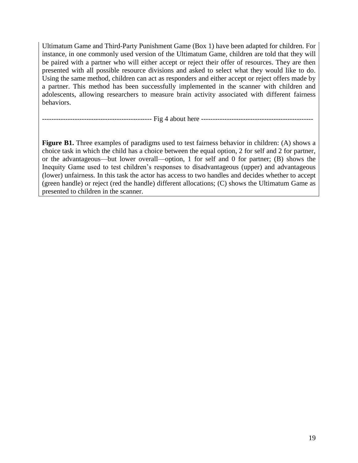Ultimatum Game and Third-Party Punishment Game (Box 1) have been adapted for children. For instance, in one commonly used version of the Ultimatum Game, children are told that they will be paired with a partner who will either accept or reject their offer of resources. They are then presented with all possible resource divisions and asked to select what they would like to do. Using the same method, children can act as responders and either accept or reject offers made by a partner. This method has been successfully implemented in the scanner with children and adolescents, allowing researchers to measure brain activity associated with different fairness behaviors.

----------------------------------------------- Fig 4 about here ------------------------------------------------

**Figure B1.** Three examples of paradigms used to test fairness behavior in children: (A) shows a choice task in which the child has a choice between the equal option, 2 for self and 2 for partner, or the advantageous—but lower overall—option, 1 for self and 0 for partner; (B) shows the Inequity Game used to test children's responses to disadvantageous (upper) and advantageous (lower) unfairness. In this task the actor has access to two handles and decides whether to accept (green handle) or reject (red the handle) different allocations; (C) shows the Ultimatum Game as presented to children in the scanner.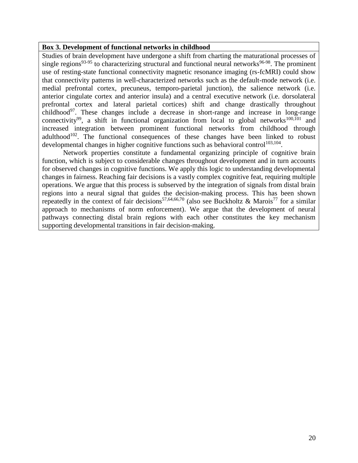# **Box 3. Development of functional networks in childhood**

Studies of brain development have undergone a shift from charting the maturational processes of single regions<sup>93-95</sup> to characterizing structural and functional neural networks<sup>96-98</sup>. The prominent use of resting-state functional connectivity magnetic resonance imaging (rs-fcMRI) could show that connectivity patterns in well-characterized networks such as the default-mode network (i.e. medial prefrontal cortex, precuneus, temporo-parietal junction), the salience network (i.e. anterior cingulate cortex and anterior insula) and a central executive network (i.e. dorsolateral prefrontal cortex and lateral parietal cortices) shift and change drastically throughout childhood<sup>97</sup>. These changes include a decrease in short-range and increase in long-range connectivity<sup>99</sup>, a shift in functional organization from local to global networks<sup>100,101</sup> and increased integration between prominent functional networks from childhood through adulthood<sup>102</sup>. The functional consequences of these changes have been linked to robust developmental changes in higher cognitive functions such as behavioral control<sup>103,104</sup>.

Network properties constitute a fundamental organizing principle of cognitive brain function, which is subject to considerable changes throughout development and in turn accounts for observed changes in cognitive functions. We apply this logic to understanding developmental changes in fairness. Reaching fair decisions is a vastly complex cognitive feat, requiring multiple operations. We argue that this process is subserved by the integration of signals from distal brain regions into a neural signal that guides the decision-making process. This has been shown repeatedly in the context of fair decisions<sup>57,64,66,70</sup> (also see Buckholtz & Marois<sup>77</sup> for a similar approach to mechanisms of norm enforcement). We argue that the development of neural pathways connecting distal brain regions with each other constitutes the key mechanism supporting developmental transitions in fair decision-making.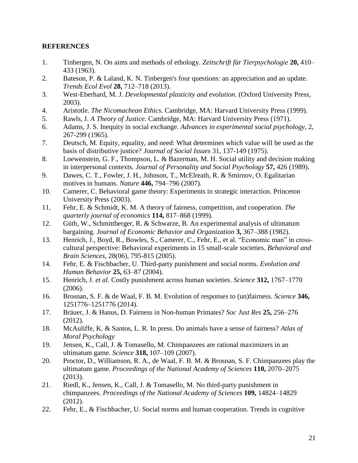# **REFERENCES**

- 1. Tinbergen, N. On aims and methods of ethology. *Zeitschrift für Tierpsychologie* **20,** 410– 433 (1963).
- 2. Bateson, P. & Laland, K. N. Tinbergen's four questions: an appreciation and an update. *Trends Ecol Evol* **28,** 712–718 (2013).
- 3. West-Eberhard, M. J. *Developmental plasticity and evolution*. (Oxford University Press, 2003).
- 4. Aristotle. *The Nicomachean Ethics*. Cambridge, MA: Harvard University Press (1999).
- 5. Rawls, J. *A Theory of Justice*. Cambridge, MA: Harvard University Press (1971).
- 6. Adams, J. S. Inequity in social exchange. *Advances in experimental social psychology*, 2, 267-299 (1965).
- 7. Deutsch, M. Equity, equality, and need: What determines which value will be used as the basis of distributive justice? *Journal of Social Issues* 31, 137-149 (1975).
- 8. Loewenstein, G. F., Thompson, L. & Bazerman, M. H. Social utility and decision making in interpersonal contexts. *Journal of Personality and Social Psychology* **57,** 426 (1989).
- 9. Dawes, C. T., Fowler, J. H., Johnson, T., McElreath, R. & Smirnov, O. Egalitarian motives in humans. *Nature* **446,** 794–796 (2007).
- 10. Camerer, C. Behavioral game theory: Experiments in strategic interaction. Princeton University Press (2003).
- 11. Fehr, E. & Schmidt, K. M. A theory of fairness, competition, and cooperation. *The quarterly journal of economics* **114,** 817–868 (1999).
- 12. Güth, W., Schmittberger, R. & Schwarze, B. An experimental analysis of ultimatum bargaining. *Journal of Economic Behavior and Organization* **3,** 367–388 (1982).
- 13. Henrich, J., Boyd, R., Bowles, S., Camerer, C., Fehr, E., et al. "Economic man" in crosscultural perspective: Behavioral experiments in 15 small-scale societies. *Behavioral and Brain Sciences*, 28(06), 795-815 (2005).
- 14. Fehr, E. & Fischbacher, U. Third-party punishment and social norms. *Evolution and Human Behavior* **25,** 63–87 (2004).
- 15. Henrich, J. *et al.* Costly punishment across human societies. *Science* **312,** 1767–1770 (2006).
- 16. Brosnan, S. F. & de Waal, F. B. M. Evolution of responses to (un)fairness. *Science* **346,** 1251776–1251776 (2014).
- 17. Bräuer, J. & Hanus, D. Fairness in Non-human Primates? *Soc Just Res* **25,** 256–276 (2012).
- 18. McAuliffe, K. & Santos, L. R. In press. Do animals have a sense of fairness? *Atlas of Moral Psychology*
- 19. Jensen, K., Call, J. & Tomasello, M. Chimpanzees are rational maximizers in an ultimatum game. *Science* **318,** 107–109 (2007).
- 20. Proctor, D., Williamson, R. A., de Waal, F. B. M. & Brosnan, S. F. Chimpanzees play the ultimatum game. *Proceedings of the National Academy of Sciences* **110,** 2070–2075 (2013).
- 21. Riedl, K., Jensen, K., Call, J. & Tomasello, M. No third-party punishment in chimpanzees. *Proceedings of the National Academy of Sciences* **109,** 14824–14829 (2012).
- 22. Fehr, E., & Fischbacher, U. Social norms and human cooperation. Trends in cognitive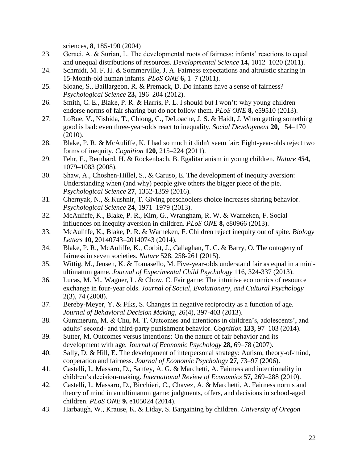sciences, **8**, 185-190 (2004)

- 23. Geraci, A. & Surian, L. The developmental roots of fairness: infants' reactions to equal and unequal distributions of resources. *Developmental Science* **14,** 1012–1020 (2011).
- 24. Schmidt, M. F. H. & Sommerville, J. A. Fairness expectations and altruistic sharing in 15-Month-old human infants. *PLoS ONE* **6,** 1–7 (2011).
- 25. Sloane, S., Baillargeon, R. & Premack, D. Do infants have a sense of fairness? *Psychological Science* **23,** 196–204 (2012).
- 26. Smith, C. E., Blake, P. R. & Harris, P. L. I should but I won't: why young children endorse norms of fair sharing but do not follow them. *PLoS ONE* **8,** e59510 (2013).
- 27. LoBue, V., Nishida, T., Chiong, C., DeLoache, J. S. & Haidt, J. When getting something good is bad: even three-year-olds react to inequality. *Social Development* **20,** 154–170 (2010).
- 28. Blake, P. R. & McAuliffe, K. I had so much it didn't seem fair: Eight-year-olds reject two forms of inequity. *Cognition* **120,** 215–224 (2011).
- 29. Fehr, E., Bernhard, H. & Rockenbach, B. Egalitarianism in young children. *Nature* **454,** 1079–1083 (2008).
- 30. Shaw, A., Choshen-Hillel, S., & Caruso, E. The development of inequity aversion: Understanding when (and why) people give others the bigger piece of the pie. *Psychological Science* **27**, 1352-1359 (2016).
- 31. Chernyak, N., & Kushnir, T. Giving preschoolers choice increases sharing behavior. *Psychological Science* **24**, 1971–1979 (2013).
- 32. McAuliffe, K., Blake, P. R., Kim, G., Wrangham, R. W. & Warneken, F. Social influences on inequity aversion in children. *PLoS ONE* **8,** e80966 (2013).
- 33. McAuliffe, K., Blake, P. R. & Warneken, F. Children reject inequity out of spite. *Biology Letters* **10,** 20140743–20140743 (2014).
- 34. Blake, P. R., McAuliffe, K., Corbit, J., Callaghan, T. C. & Barry, O. The ontogeny of fairness in seven societies. *Nature* 528, 258-261 (2015).
- 35. Wittig, M., Jensen, K. & Tomasello, M. Five-year-olds understand fair as equal in a miniultimatum game. *Journal of Experimental Child Psychology* 116, 324-337 (2013).
- 36. Lucas, M. M., Wagner, L. & Chow, C. Fair game: The intuitive economics of resource exchange in four-year olds. *Journal of Social, Evolutionary, and Cultural Psychology* 2(3), 74 (2008).
- 37. Bereby-Meyer, Y. & Fiks, S. Changes in negative reciprocity as a function of age. *Journal of Behavioral Decision Making*, 26(4), 397-403 (2013).
- 38. Gummerum, M. & Chu, M. T. Outcomes and intentions in children's, adolescents', and adults' second- and third-party punishment behavior. *Cognition* **133,** 97–103 (2014).
- 39. Sutter, M. Outcomes versus intentions: On the nature of fair behavior and its development with age. *Journal of Economic Psychology* **28,** 69–78 (2007).
- 40. Sally, D. & Hill, E. The development of interpersonal strategy: Autism, theory-of-mind, cooperation and fairness. *Journal of Economic Psychology* **27,** 73–97 (2006).
- 41. Castelli, I., Massaro, D., Sanfey, A. G. & Marchetti, A. Fairness and intentionality in children's decision-making. *International Review of Economics* **57,** 269–288 (2010).
- 42. Castelli, I., Massaro, D., Bicchieri, C., Chavez, A. & Marchetti, A. Fairness norms and theory of mind in an ultimatum game: judgments, offers, and decisions in school-aged children. *PLoS ONE* **9,** e105024 (2014).
- 43. Harbaugh, W., Krause, K. & Liday, S. Bargaining by children. *University of Oregon*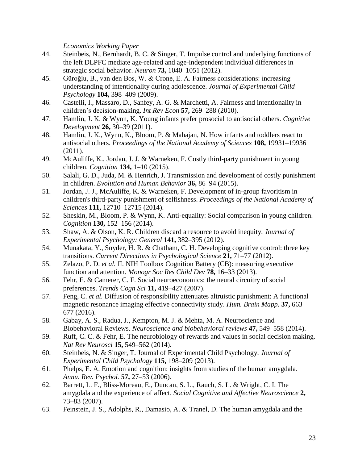*Economics Working Paper*

- 44. Steinbeis, N., Bernhardt, B. C. & Singer, T. Impulse control and underlying functions of the left DLPFC mediate age-related and age-independent individual differences in strategic social behavior. *Neuron* **73,** 1040–1051 (2012).
- 45. Güroğlu, B., van den Bos, W. & Crone, E. A. Fairness considerations: increasing understanding of intentionality during adolescence. *Journal of Experimental Child Psychology* **104,** 398–409 (2009).
- 46. Castelli, I., Massaro, D., Sanfey, A. G. & Marchetti, A. Fairness and intentionality in children's decision-making. *Int Rev Econ* **57,** 269–288 (2010).
- 47. Hamlin, J. K. & Wynn, K. Young infants prefer prosocial to antisocial others. *Cognitive Development* **26,** 30–39 (2011).
- 48. Hamlin, J. K., Wynn, K., Bloom, P. & Mahajan, N. How infants and toddlers react to antisocial others. *Proceedings of the National Academy of Sciences* **108,** 19931–19936 (2011).
- 49. McAuliffe, K., Jordan, J. J. & Warneken, F. Costly third-party punishment in young children. *Cognition* **134,** 1–10 (2015).
- 50. Salali, G. D., Juda, M. & Henrich, J. Transmission and development of costly punishment in children. *Evolution and Human Behavior* **36,** 86–94 (2015).
- 51. Jordan, J. J., McAuliffe, K. & Warneken, F. Development of in-group favoritism in children's third-party punishment of selfishness. *Proceedings of the National Academy of Sciences* **111,** 12710–12715 (2014).
- 52. Sheskin, M., Bloom, P. & Wynn, K. Anti-equality: Social comparison in young children. *Cognition* **130,** 152–156 (2014).
- 53. Shaw, A. & Olson, K. R. Children discard a resource to avoid inequity. *Journal of Experimental Psychology: General* **141,** 382–395 (2012).
- 54. Munakata, Y., Snyder, H. R. & Chatham, C. H. Developing cognitive control: three key transitions. *Current Directions in Psychological Science* **21,** 71–77 (2012).
- 55. Zelazo, P. D. *et al.* II. NIH Toolbox Cognition Battery (CB): measuring executive function and attention. *Monogr Soc Res Child Dev* **78,** 16–33 (2013).
- 56. Fehr, E. & Camerer, C. F. Social neuroeconomics: the neural circuitry of social preferences. *Trends Cogn Sci* **11,** 419–427 (2007).
- 57. Feng, C. *et al.* Diffusion of responsibility attenuates altruistic punishment: A functional magnetic resonance imaging effective connectivity study. *Hum. Brain Mapp.* **37,** 663– 677 (2016).
- 58. Gabay, A. S., Radua, J., Kempton, M. J. & Mehta, M. A. Neuroscience and Biobehavioral Reviews. *Neuroscience and biobehavioral reviews* **47,** 549–558 (2014).
- 59. Ruff, C. C. & Fehr, E. The neurobiology of rewards and values in social decision making. *Nat Rev Neurosci* **15,** 549–562 (2014).
- 60. Steinbeis, N. & Singer, T. Journal of Experimental Child Psychology. *Journal of Experimental Child Psychology* **115,** 198–209 (2013).
- 61. Phelps, E. A. Emotion and cognition: insights from studies of the human amygdala. *Annu. Rev. Psychol.* **57,** 27–53 (2006).
- 62. Barrett, L. F., Bliss-Moreau, E., Duncan, S. L., Rauch, S. L. & Wright, C. I. The amygdala and the experience of affect. *Social Cognitive and Affective Neuroscience* **2,** 73–83 (2007).
- 63. Feinstein, J. S., Adolphs, R., Damasio, A. & Tranel, D. The human amygdala and the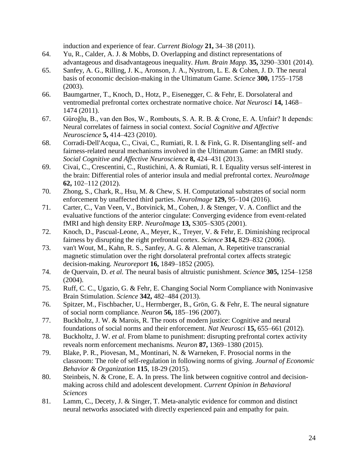induction and experience of fear. *Current Biology* **21,** 34–38 (2011).

- 64. Yu, R., Calder, A. J. & Mobbs, D. Overlapping and distinct representations of advantageous and disadvantageous inequality. *Hum. Brain Mapp.* **35,** 3290–3301 (2014).
- 65. Sanfey, A. G., Rilling, J. K., Aronson, J. A., Nystrom, L. E. & Cohen, J. D. The neural basis of economic decision-making in the Ultimatum Game. *Science* **300,** 1755–1758 (2003).
- 66. Baumgartner, T., Knoch, D., Hotz, P., Eisenegger, C. & Fehr, E. Dorsolateral and ventromedial prefrontal cortex orchestrate normative choice. *Nat Neurosci* **14,** 1468– 1474 (2011).
- 67. Güroğlu, B., van den Bos, W., Rombouts, S. A. R. B. & Crone, E. A. Unfair? It depends: Neural correlates of fairness in social context. *Social Cognitive and Affective Neuroscience* **5,** 414–423 (2010).
- 68. Corradi-Dell'Acqua, C., Civai, C., Rumiati, R. I. & Fink, G. R. Disentangling self- and fairness-related neural mechanisms involved in the Ultimatum Game: an fMRI study. *Social Cognitive and Affective Neuroscience* **8,** 424–431 (2013).
- 69. Civai, C., Crescentini, C., Rustichini, A. & Rumiati, R. I. Equality versus self-interest in the brain: Differential roles of anterior insula and medial prefrontal cortex. *NeuroImage* **62,** 102–112 (2012).
- 70. Zhong, S., Chark, R., Hsu, M. & Chew, S. H. Computational substrates of social norm enforcement by unaffected third parties. *NeuroImage* **129,** 95–104 (2016).
- 71. Carter, C., Van Veen, V., Botvinick, M., Cohen, J. & Stenger, V. A. Conflict and the evaluative functions of the anterior cingulate: Converging evidence from event-related fMRI and high density ERP. *NeuroImage* **13,** S305–S305 (2001).
- 72. Knoch, D., Pascual-Leone, A., Meyer, K., Treyer, V. & Fehr, E. Diminishing reciprocal fairness by disrupting the right prefrontal cortex. *Science* **314,** 829–832 (2006).
- 73. van't Wout, M., Kahn, R. S., Sanfey, A. G. & Aleman, A. Repetitive transcranial magnetic stimulation over the right dorsolateral prefrontal cortex affects strategic decision-making. *Neuroreport* **16,** 1849–1852 (2005).
- 74. de Quervain, D. *et al.* The neural basis of altruistic punishment. *Science* **305,** 1254–1258 (2004).
- 75. Ruff, C. C., Ugazio, G. & Fehr, E. Changing Social Norm Compliance with Noninvasive Brain Stimulation. *Science* **342,** 482–484 (2013).
- 76. Spitzer, M., Fischbacher, U., Herrnberger, B., Grön, G. & Fehr, E. The neural signature of social norm compliance. *Neuron* **56,** 185–196 (2007).
- 77. Buckholtz, J. W. & Marois, R. The roots of modern justice: Cognitive and neural foundations of social norms and their enforcement. *Nat Neurosci* **15,** 655–661 (2012).
- 78. Buckholtz, J. W. *et al.* From blame to punishment: disrupting prefrontal cortex activity reveals norm enforcement mechanisms. *Neuron* **87,** 1369–1380 (2015).
- 79. Blake, P. R., Piovesan, M., Montinari, N. & Warneken, F. Prosocial norms in the classroom: The role of self-regulation in following norms of giving. *Journal of Economic Behavior & Organization* **115**, 18-29 (2015).
- 80. Steinbeis, N. & Crone, E. A. In press. The link between cognitive control and decisionmaking across child and adolescent development. *Current Opinion in Behavioral Sciences*
- 81. Lamm, C., Decety, J. & Singer, T. Meta-analytic evidence for common and distinct neural networks associated with directly experienced pain and empathy for pain.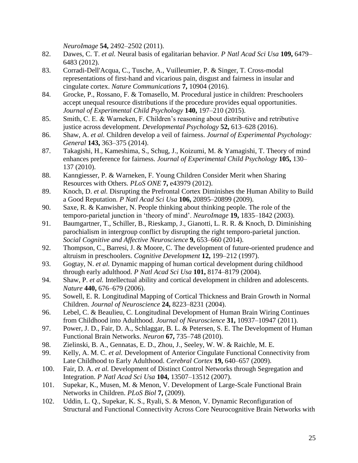*NeuroImage* **54,** 2492–2502 (2011).

- 82. Dawes, C. T. *et al.* Neural basis of egalitarian behavior. *P Natl Acad Sci Usa* **109,** 6479– 6483 (2012).
- 83. Corradi-Dell'Acqua, C., Tusche, A., Vuilleumier, P. & Singer, T. Cross-modal representations of first-hand and vicarious pain, disgust and fairness in insular and cingulate cortex. *Nature Communications* **7,** 10904 (2016).
- 84. Grocke, P., Rossano, F. & Tomasello, M. Procedural justice in children: Preschoolers accept unequal resource distributions if the procedure provides equal opportunities. *Journal of Experimental Child Psychology* **140,** 197–210 (2015).
- 85. Smith, C. E. & Warneken, F. Children's reasoning about distributive and retributive justice across development. *Developmental Psychology* **52,** 613–628 (2016).
- 86. Shaw, A. *et al.* Children develop a veil of fairness. *Journal of Experimental Psychology: General* **143,** 363–375 (2014).
- 87. Takagishi, H., Kameshima, S., Schug, J., Koizumi, M. & Yamagishi, T. Theory of mind enhances preference for fairness. *Journal of Experimental Child Psychology* **105,** 130– 137 (2010).
- 88. Kanngiesser, P. & Warneken, F. Young Children Consider Merit when Sharing Resources with Others. *PLoS ONE* **7,** e43979 (2012).
- 89. Knoch, D. *et al.* Disrupting the Prefrontal Cortex Diminishes the Human Ability to Build a Good Reputation. *P Natl Acad Sci Usa* **106,** 20895–20899 (2009).
- 90. Saxe, R. & Kanwisher, N. People thinking about thinking people. The role of the temporo-parietal junction in 'theory of mind'. *NeuroImage* **19,** 1835–1842 (2003).
- 91. Baumgartner, T., Schiller, B., Rieskamp, J., Gianotti, L. R. R. & Knoch, D. Diminishing parochialism in intergroup conflict by disrupting the right temporo-parietal junction. *Social Cognitive and Affective Neuroscience* **9,** 653–660 (2014).
- 92. Thompson, C., Barresi, J. & Moore, C. The development of future-oriented prudence and altruism in preschoolers. *Cognitive Development* **12,** 199–212 (1997).
- 93. Gogtay, N. *et al.* Dynamic mapping of human cortical development during childhood through early adulthood. *P Natl Acad Sci Usa* **101,** 8174–8179 (2004).
- 94. Shaw, P. *et al.* Intellectual ability and cortical development in children and adolescents. *Nature* **440,** 676–679 (2006).
- 95. Sowell, E. R. Longitudinal Mapping of Cortical Thickness and Brain Growth in Normal Children. *Journal of Neuroscience* **24,** 8223–8231 (2004).
- 96. Lebel, C. & Beaulieu, C. Longitudinal Development of Human Brain Wiring Continues from Childhood into Adulthood. *Journal of Neuroscience* **31,** 10937–10947 (2011).
- 97. Power, J. D., Fair, D. A., Schlaggar, B. L. & Petersen, S. E. The Development of Human Functional Brain Networks. *Neuron* **67,** 735–748 (2010).
- 98. Zielinski, B. A., Gennatas, E. D., Zhou, J., Seeley, W. W. & Raichle, M. E.
- 99. Kelly, A. M. C. *et al.* Development of Anterior Cingulate Functional Connectivity from Late Childhood to Early Adulthood. *Cerebral Cortex* **19,** 640–657 (2009).
- 100. Fair, D. A. *et al.* Development of Distinct Control Networks through Segregation and Integration. *P Natl Acad Sci Usa* **104,** 13507–13512 (2007).
- 101. Supekar, K., Musen, M. & Menon, V. Development of Large-Scale Functional Brain Networks in Children. *PLoS Biol* **7,** (2009).
- 102. Uddin, L. Q., Supekar, K. S., Ryali, S. & Menon, V. Dynamic Reconfiguration of Structural and Functional Connectivity Across Core Neurocognitive Brain Networks with